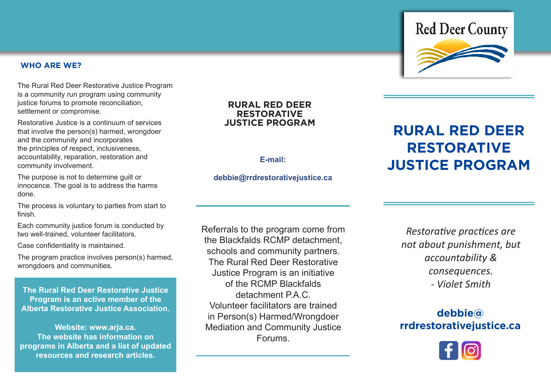#### **WHO ARE WE?**

The Rural Red Deer Restorative Justice Program is a community run program using community justice forums to promote reconciliation, settlement or compromise.

Restorative Justice is a continuum of services that involve the person(s) harmed, wrongdoer and the community and incorporates the principles of respect, inclusiveness, accountability, reparation, restoration and community involvement.

The purpose is not to determine guilt or innocence. The goal is to address the harms done.

The process is voluntary to parties from start to finish.

Each community justice forum is conducted by two well-trained, volunteer facilitators.

Case confidentiality is maintained.

The program practice involves person(s) harmed, wrongdoers and communities.

**The Rural Red Deer Restorative Justice Program is an active member of the Alberta Restorative Justice Association.** 

**Website: www.arja.ca. The website has information on programs in Alberta and a list of updated resources and research articles.** 

# **RURAL RED DEER RESTORATIVE**

## **debbie@rrdrestorativejustice.ca**

Referrals to the program come from the Blackfalds RCMP detachment, schools and community partners. The Rural Red Deer Restorative Justice Program is an initiative of the RCMP Blackfalds detachment PAC. Volunteer facilitators are trained in Person(s) Harmed/Wrongdoer Mediation and Community Justice Forums.



# **debbie@ rrdrestorativejustice.ca**





# **RURAL RED DEER RESTORATIVE E-mail: JUSTICE PROGRAM**